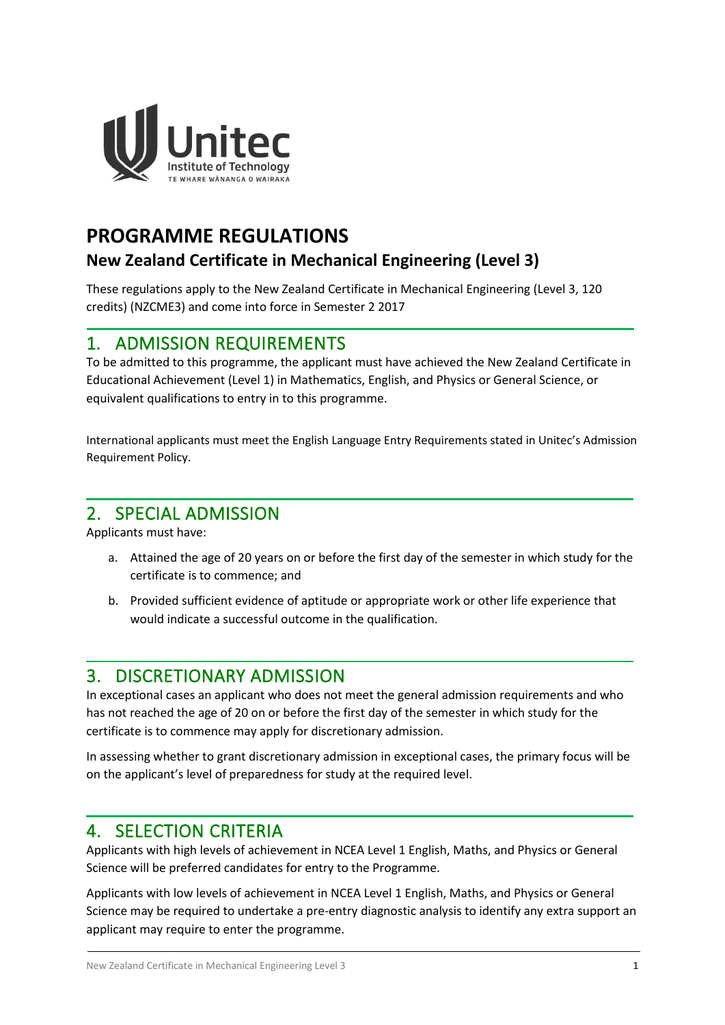

# **PROGRAMME REGULATIONS**

## **New Zealand Certificate in Mechanical Engineering (Level 3)**

These regulations apply to the New Zealand Certificate in Mechanical Engineering (Level 3, 120 credits) (NZCME3) and come into force in Semester 2 2017

### 1. ADMISSION REQUIREMENTS

To be admitted to this programme, the applicant must have achieved the New Zealand Certificate in Educational Achievement (Level 1) in Mathematics, English, and Physics or General Science, or equivalent qualifications to entry in to this programme.

International applicants must meet the English Language Entry Requirements stated in Unitec's Admission Requirement Policy.

### 2. SPECIAL ADMISSION

Applicants must have:

- a. Attained the age of 20 years on or before the first day of the semester in which study for the certificate is to commence; and
- b. Provided sufficient evidence of aptitude or appropriate work or other life experience that would indicate a successful outcome in the qualification.

### 3. DISCRETIONARY ADMISSION

In exceptional cases an applicant who does not meet the general admission requirements and who has not reached the age of 20 on or before the first day of the semester in which study for the certificate is to commence may apply for discretionary admission.

In assessing whether to grant discretionary admission in exceptional cases, the primary focus will be on the applicant's level of preparedness for study at the required level.

### 4. SELECTION CRITERIA

Applicants with high levels of achievement in NCEA Level 1 English, Maths, and Physics or General Science will be preferred candidates for entry to the Programme.

Applicants with low levels of achievement in NCEA Level 1 English, Maths, and Physics or General Science may be required to undertake a pre-entry diagnostic analysis to identify any extra support an applicant may require to enter the programme.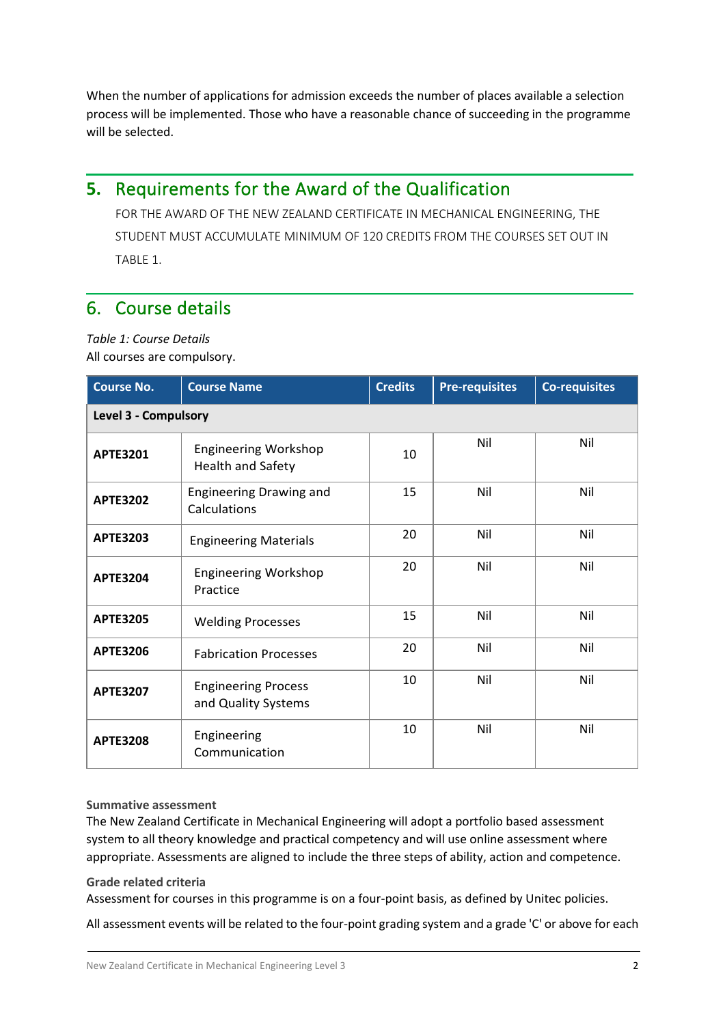When the number of applications for admission exceeds the number of places available a selection process will be implemented. Those who have a reasonable chance of succeeding in the programme will be selected.

## **5.** Requirements for the Award of the Qualification

FOR THE AWARD OF THE NEW ZEALAND CERTIFICATE IN MECHANICAL ENGINEERING, THE STUDENT MUST ACCUMULATE MINIMUM OF 120 CREDITS FROM THE COURSES SET OUT IN TABLE 1.

### 6. Course details

*Table 1: Course Details* All courses are compulsory.

| <b>Course No.</b>           | <b>Course Name</b>                                      | <b>Credits</b> | <b>Pre-requisites</b> | <b>Co-requisites</b> |  |  |
|-----------------------------|---------------------------------------------------------|----------------|-----------------------|----------------------|--|--|
| <b>Level 3 - Compulsory</b> |                                                         |                |                       |                      |  |  |
| <b>APTE3201</b>             | <b>Engineering Workshop</b><br><b>Health and Safety</b> | 10             | Nil                   | Nil                  |  |  |
| <b>APTE3202</b>             | <b>Engineering Drawing and</b><br>Calculations          | 15             | Nil                   | Nil                  |  |  |
| <b>APTE3203</b>             | <b>Engineering Materials</b>                            | 20             | Nil                   | Nil                  |  |  |
| <b>APTE3204</b>             | <b>Engineering Workshop</b><br>Practice                 | 20             | Nil                   | Nil                  |  |  |
| <b>APTE3205</b>             | <b>Welding Processes</b>                                | 15             | Nil                   | Nil                  |  |  |
| <b>APTE3206</b>             | <b>Fabrication Processes</b>                            | 20             | Nil                   | Nil                  |  |  |
| <b>APTE3207</b>             | <b>Engineering Process</b><br>and Quality Systems       | 10             | Nil                   | Nil                  |  |  |
| <b>APTE3208</b>             | Engineering<br>Communication                            | 10             | Nil                   | Nil                  |  |  |

#### **Summative assessment**

The New Zealand Certificate in Mechanical Engineering will adopt a portfolio based assessment system to all theory knowledge and practical competency and will use online assessment where appropriate. Assessments are aligned to include the three steps of ability, action and competence.

#### **Grade related criteria**

Assessment for courses in this programme is on a four-point basis, as defined by Unitec policies.

All assessment events will be related to the four-point grading system and a grade 'C' or above for each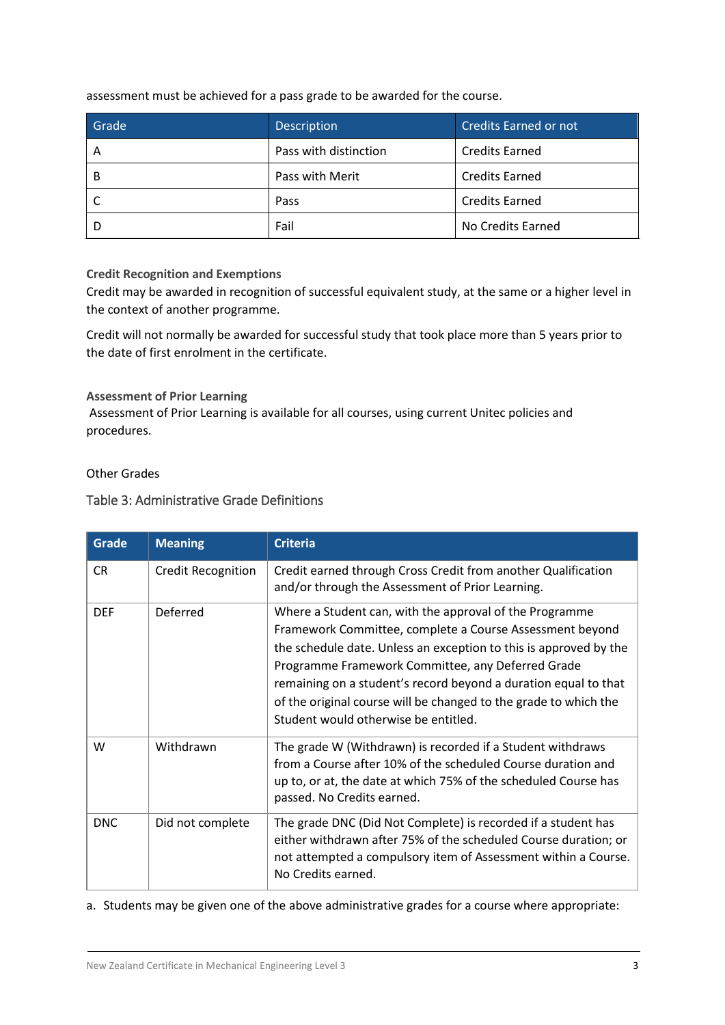assessment must be achieved for a pass grade to be awarded for the course.

| Grade | <b>Description</b>    | <b>Credits Earned or not</b> |
|-------|-----------------------|------------------------------|
| Α     | Pass with distinction | <b>Credits Earned</b>        |
| В     | Pass with Merit       | <b>Credits Earned</b>        |
|       | Pass                  | <b>Credits Earned</b>        |
|       | Fail                  | No Credits Earned            |

#### **Credit Recognition and Exemptions**

Credit may be awarded in recognition of successful equivalent study, at the same or a higher level in the context of another programme.

Credit will not normally be awarded for successful study that took place more than 5 years prior to the date of first enrolment in the certificate.

#### **Assessment of Prior Learning**

Assessment of Prior Learning is available for all courses, using current Unitec policies and procedures.

Other Grades

#### Table 3: Administrative Grade Definitions

| Grade      | <b>Meaning</b>            | <b>Criteria</b>                                                                                                                                                                                                                                                                                                                                                                                                              |
|------------|---------------------------|------------------------------------------------------------------------------------------------------------------------------------------------------------------------------------------------------------------------------------------------------------------------------------------------------------------------------------------------------------------------------------------------------------------------------|
| <b>CR</b>  | <b>Credit Recognition</b> | Credit earned through Cross Credit from another Qualification<br>and/or through the Assessment of Prior Learning.                                                                                                                                                                                                                                                                                                            |
| <b>DEF</b> | Deferred                  | Where a Student can, with the approval of the Programme<br>Framework Committee, complete a Course Assessment beyond<br>the schedule date. Unless an exception to this is approved by the<br>Programme Framework Committee, any Deferred Grade<br>remaining on a student's record beyond a duration equal to that<br>of the original course will be changed to the grade to which the<br>Student would otherwise be entitled. |
| W          | Withdrawn                 | The grade W (Withdrawn) is recorded if a Student withdraws<br>from a Course after 10% of the scheduled Course duration and<br>up to, or at, the date at which 75% of the scheduled Course has<br>passed. No Credits earned.                                                                                                                                                                                                  |
| <b>DNC</b> | Did not complete          | The grade DNC (Did Not Complete) is recorded if a student has<br>either withdrawn after 75% of the scheduled Course duration; or<br>not attempted a compulsory item of Assessment within a Course.<br>No Credits earned.                                                                                                                                                                                                     |

a. Students may be given one of the above administrative grades for a course where appropriate: